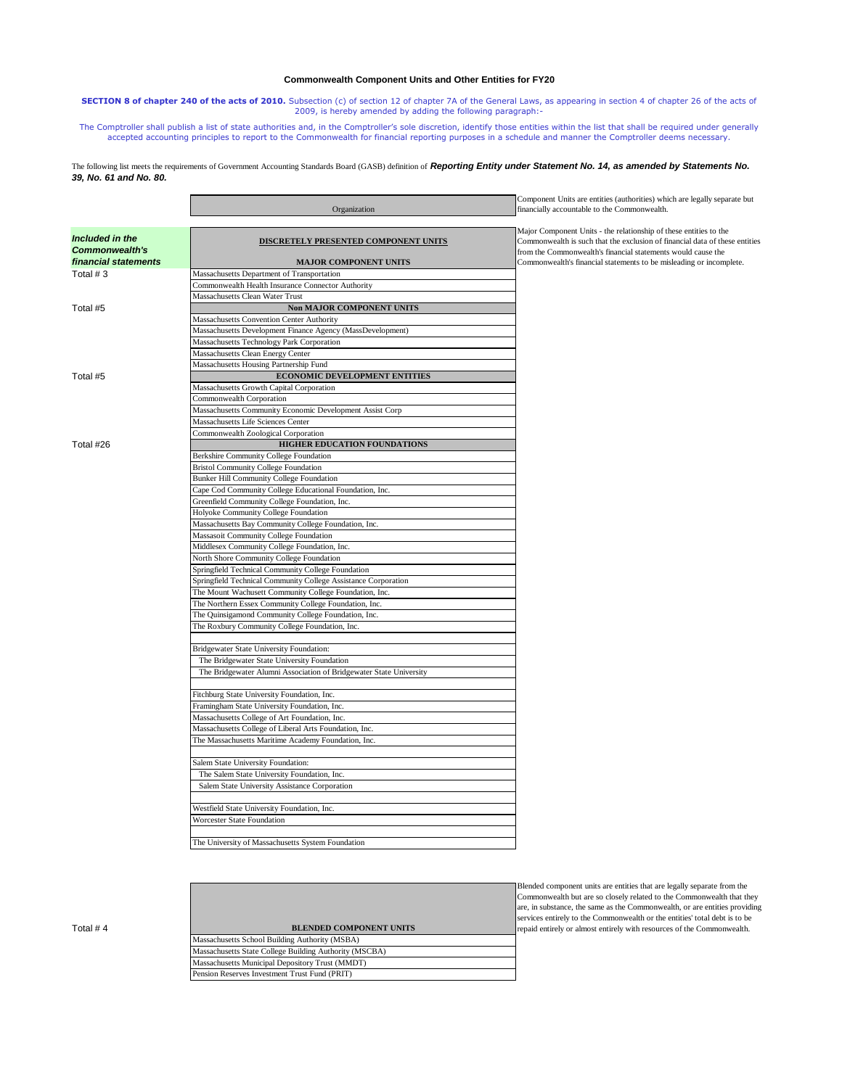## **Commonwealth Component Units and Other Entities for FY20**

**SECTION 8 of chapter 240 of the acts of 2010.** Subsection (c) of section 12 of chapter 7A of the General Laws, as appearing in section 4 of chapter 26 of the acts of 2009, is hereby amended by adding the following paragraph:-

The Comptroller shall publish a list of state authorities and, in the Comptroller's sole discretion, identify those entities within the list that shall be required under generally accepted accounting principles to report to the Commonwealth for financial reporting purposes in a schedule and manner the Comptroller deems necessary.

## The following list meets the requirements of Government Accounting Standards Board (GASB) definition of *Reporting Entity under Statement No. 14, as amended by Statements No. 39, No. 61 and No. 80.*

|                                          | Organization                                                       | Component Units are entities (authorities) which are legally separate but<br>financially accountable to the Commonwealth.                                                                                        |
|------------------------------------------|--------------------------------------------------------------------|------------------------------------------------------------------------------------------------------------------------------------------------------------------------------------------------------------------|
| Included in the<br><b>Commonwealth's</b> | DISCRETELY PRESENTED COMPONENT UNITS                               | Major Component Units - the relationship of these entities to the<br>Commonwealth is such that the exclusion of financial data of these entities<br>from the Commonwealth's financial statements would cause the |
| financial statements                     | <b>MAJOR COMPONENT UNITS</b>                                       | Commonwealth's financial statements to be misleading or incomplete.                                                                                                                                              |
| Total #3                                 | Massachusetts Department of Transportation                         |                                                                                                                                                                                                                  |
|                                          | Commonwealth Health Insurance Connector Authority                  |                                                                                                                                                                                                                  |
|                                          | Massachusetts Clean Water Trust                                    |                                                                                                                                                                                                                  |
| Total #5                                 | <b>Non MAJOR COMPONENT UNITS</b>                                   |                                                                                                                                                                                                                  |
|                                          | Massachusetts Convention Center Authority                          |                                                                                                                                                                                                                  |
|                                          | Massachusetts Development Finance Agency (MassDevelopment)         |                                                                                                                                                                                                                  |
|                                          | Massachusetts Technology Park Corporation                          |                                                                                                                                                                                                                  |
|                                          | Massachusetts Clean Energy Center                                  |                                                                                                                                                                                                                  |
|                                          | Massachusetts Housing Partnership Fund                             |                                                                                                                                                                                                                  |
| Total #5                                 | <b>ECONOMIC DEVELOPMENT ENTITIES</b>                               |                                                                                                                                                                                                                  |
|                                          | Massachusetts Growth Capital Corporation                           |                                                                                                                                                                                                                  |
|                                          | Commonwealth Corporation                                           |                                                                                                                                                                                                                  |
|                                          | Massachusetts Community Economic Development Assist Corp           |                                                                                                                                                                                                                  |
|                                          | Massachusetts Life Sciences Center                                 |                                                                                                                                                                                                                  |
|                                          | Commonwealth Zoological Corporation                                |                                                                                                                                                                                                                  |
| Total #26                                | HIGHER EDUCATION FOUNDATIONS                                       |                                                                                                                                                                                                                  |
|                                          | Berkshire Community College Foundation                             |                                                                                                                                                                                                                  |
|                                          | <b>Bristol Community College Foundation</b>                        |                                                                                                                                                                                                                  |
|                                          | Bunker Hill Community College Foundation                           |                                                                                                                                                                                                                  |
|                                          | Cape Cod Community College Educational Foundation, Inc.            |                                                                                                                                                                                                                  |
|                                          | Greenfield Community College Foundation, Inc.                      |                                                                                                                                                                                                                  |
|                                          | Holyoke Community College Foundation                               |                                                                                                                                                                                                                  |
|                                          | Massachusetts Bay Community College Foundation, Inc.               |                                                                                                                                                                                                                  |
|                                          | Massasoit Community College Foundation                             |                                                                                                                                                                                                                  |
|                                          | Middlesex Community College Foundation, Inc.                       |                                                                                                                                                                                                                  |
|                                          | North Shore Community College Foundation                           |                                                                                                                                                                                                                  |
|                                          | Springfield Technical Community College Foundation                 |                                                                                                                                                                                                                  |
|                                          | Springfield Technical Community College Assistance Corporation     |                                                                                                                                                                                                                  |
|                                          | The Mount Wachusett Community College Foundation, Inc.             |                                                                                                                                                                                                                  |
|                                          | The Northern Essex Community College Foundation, Inc.              |                                                                                                                                                                                                                  |
|                                          | The Quinsigamond Community College Foundation, Inc.                |                                                                                                                                                                                                                  |
|                                          | The Roxbury Community College Foundation, Inc.                     |                                                                                                                                                                                                                  |
|                                          | Bridgewater State University Foundation:                           |                                                                                                                                                                                                                  |
|                                          | The Bridgewater State University Foundation                        |                                                                                                                                                                                                                  |
|                                          | The Bridgewater Alumni Association of Bridgewater State University |                                                                                                                                                                                                                  |
|                                          | Fitchburg State University Foundation, Inc.                        |                                                                                                                                                                                                                  |
|                                          | Framingham State University Foundation, Inc.                       |                                                                                                                                                                                                                  |
|                                          | Massachusetts College of Art Foundation, Inc.                      |                                                                                                                                                                                                                  |
|                                          | Massachusetts College of Liberal Arts Foundation, Inc.             |                                                                                                                                                                                                                  |
|                                          | The Massachusetts Maritime Academy Foundation, Inc.                |                                                                                                                                                                                                                  |
|                                          | Salem State University Foundation:                                 |                                                                                                                                                                                                                  |
|                                          | The Salem State University Foundation, Inc.                        |                                                                                                                                                                                                                  |
|                                          | Salem State University Assistance Corporation                      |                                                                                                                                                                                                                  |
|                                          | Westfield State University Foundation, Inc.                        |                                                                                                                                                                                                                  |
|                                          | Worcester State Foundation                                         |                                                                                                                                                                                                                  |
|                                          | The University of Massachusetts System Foundation                  |                                                                                                                                                                                                                  |
|                                          |                                                                    |                                                                                                                                                                                                                  |

| Total # 4 | <b>BLENDED COMPONENT UNITS</b>                         |
|-----------|--------------------------------------------------------|
|           | Massachusetts School Building Authority (MSBA)         |
|           | Massachusetts State College Building Authority (MSCBA) |
|           | Massachusetts Municipal Depository Trust (MMDT)        |
|           | Pension Reserves Investment Trust Fund (PRIT)          |
|           |                                                        |

Blended component units are entities that are legally separate from the Commonwealth but are so closely related to the Commonwealth that they are, in substance, the same as the Commonwealth, or are entities providing services entirely to the Commonwealth or the entities' total debt is to be repaid entirely or almost entirely with resources of the Commonwealth.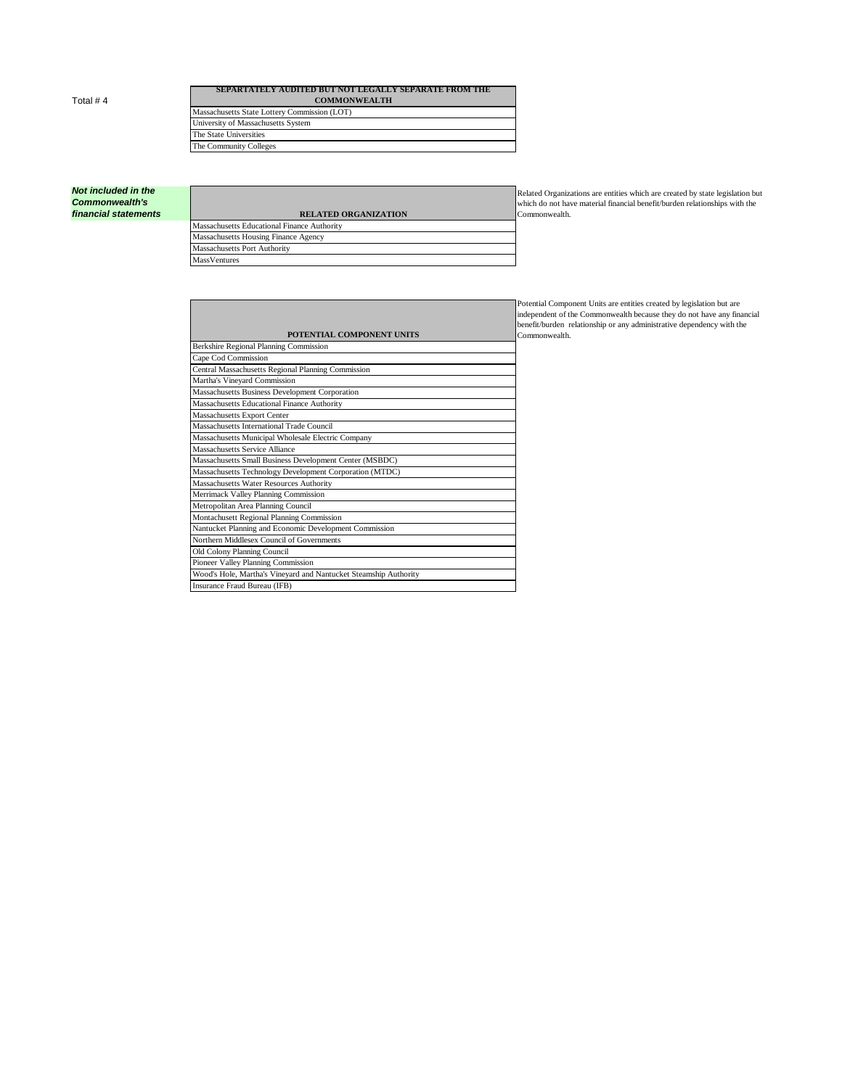Total # 4

## **SEPARTATELY AUDITED BUT NOT LEGALLY SEPARATE FROM THE COMMONWEALTH** Massachusetts State Lottery Commission (LOT) University of Massachusetts System The State Universities

The Community Colleges

## *Not included in the Commonwealth's*   $f$ *inancial statements*

| <b>RELATED ORGANIZATION</b>                 |  |
|---------------------------------------------|--|
| Massachusetts Educational Finance Authority |  |
| Massachusetts Housing Finance Agency        |  |
| Massachusetts Port Authority                |  |
| <b>MassVentures</b>                         |  |

Related Organizations are entities which are created by state legislation but which do not have material financial benefit/burden relationships with the Commonwealth.

|                                                                  | ю<br>in |
|------------------------------------------------------------------|---------|
|                                                                  | b       |
| POTENTIAL COMPONENT UNITS                                        | Ċ       |
| Berkshire Regional Planning Commission                           |         |
| Cape Cod Commission                                              |         |
| Central Massachusetts Regional Planning Commission               |         |
| Martha's Vineyard Commission                                     |         |
| Massachusetts Business Development Corporation                   |         |
| Massachusetts Educational Finance Authority                      |         |
| Massachusetts Export Center                                      |         |
| Massachusetts International Trade Council                        |         |
| Massachusetts Municipal Wholesale Electric Company               |         |
| Massachusetts Service Alliance                                   |         |
| Massachusetts Small Business Development Center (MSBDC)          |         |
| Massachusetts Technology Development Corporation (MTDC)          |         |
| Massachusetts Water Resources Authority                          |         |
| Merrimack Valley Planning Commission                             |         |
| Metropolitan Area Planning Council                               |         |
| Montachusett Regional Planning Commission                        |         |
| Nantucket Planning and Economic Development Commission           |         |
| Northern Middlesex Council of Governments                        |         |
| Old Colony Planning Council                                      |         |
| Pioneer Valley Planning Commission                               |         |
| Wood's Hole, Martha's Vineyard and Nantucket Steamship Authority |         |
| Insurance Fraud Bureau (IFB)                                     |         |

Potential Component Units are entities created by legislation but are independent of the Commonwealth because they do not have any financial benefit/burden relationship or any administrative dependency with the Commonwealth.